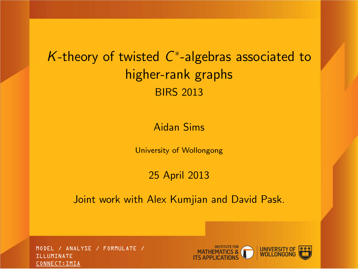# K-theory of twisted  $C^*$ -algebras associated to higher-rank graphs BIRS 2013

#### Aidan Sims

University of Wollongong

#### 25 April 2013

Joint work with Alex Kumjian and David Pask.

MODEL / ANALYSE / FORMULATE / ILLUMINATE CONNECT:IMIA

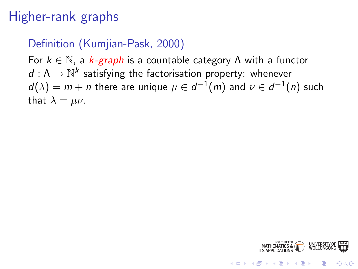# Higher-rank graphs

#### Definition (Kumjian-Pask, 2000)

For  $k \in \mathbb{N}$ , a  $k$ -graph is a countable category  $\Lambda$  with a functor  $d: \Lambda \to \mathbb{N}^k$  satisfying the factorisation property: whenever  $d(\lambda)=m+n$  there are unique  $\mu\in d^{-1}(m)$  and  $\nu\in d^{-1}(n)$  such that  $\lambda = \mu \nu$ .



**KORK STRAIN A BAR SHOP**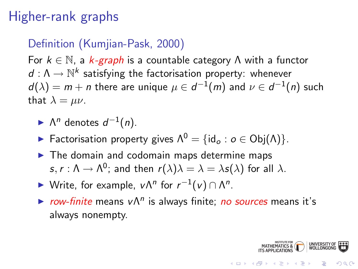# Higher-rank graphs

#### Definition (Kumjian-Pask, 2000)

For  $k \in \mathbb{N}$ , a  $k$ -graph is a countable category  $\Lambda$  with a functor  $d: \Lambda \to \mathbb{N}^k$  satisfying the factorisation property: whenever  $d(\lambda)=m+n$  there are unique  $\mu\in d^{-1}(m)$  and  $\nu\in d^{-1}(n)$  such that  $\lambda = \mu \nu$ .

- $\blacktriangleright$   $\Lambda^n$  denotes  $d^{-1}(n)$ .
- **Factorisation property gives**  $\Lambda^0 = \{ id_o : o \in Obj(\Lambda) \}.$
- $\blacktriangleright$  The domain and codomain maps determine maps  $\mathsf{s},\mathsf{r}:\mathsf{\Lambda}\to\mathsf{\Lambda}^0;$  and then  $\mathsf{r}(\lambda)\lambda=\lambda=\lambda\mathsf{s}(\lambda)$  for all  $\lambda.$
- ► Write, for example,  $v\Lambda^n$  for  $r^{-1}(v) \cap \Lambda^n$ .
- row-finite means v $\Lambda^n$  is always finite; no sources means it's always nonempty.

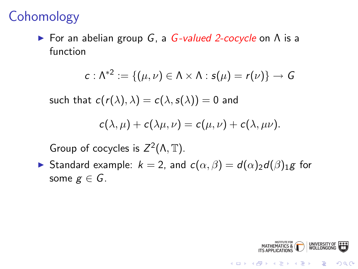## **Cohomology**

**Example 1** For an abelian group G, a G-valued 2-cocycle on A is a function

$$
c: \Lambda^{*2} := \{(\mu, \nu) \in \Lambda \times \Lambda : s(\mu) = r(\nu)\} \to G
$$

such that  $c(r(\lambda), \lambda) = c(\lambda, s(\lambda)) = 0$  and

$$
c(\lambda,\mu)+c(\lambda\mu,\nu)=c(\mu,\nu)+c(\lambda,\mu\nu).
$$

Group of cocycles is  $Z^2(\Lambda, \mathbb{T})$ .

Standard example:  $k = 2$ , and  $c(\alpha, \beta) = d(\alpha)$ <sub>2</sub>d( $\beta$ )<sub>1</sub>g for some  $g \in G$ .

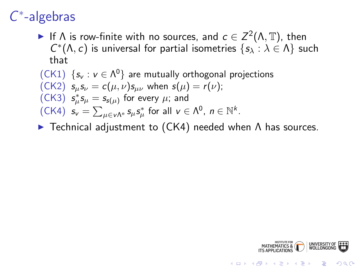# C ∗ -algebras

If  $\Lambda$  is row-finite with no sources, and  $c \in Z^2(\Lambda, \mathbb{T})$ , then  $C^*(\Lambda, c)$  is universal for partial isometries  $\{s_\lambda : \lambda \in \Lambda\}$  such that

(CK1) 
$$
\{s_v : v \in \Lambda^0\}
$$
 are mutually orthogonal projections

\n(CK2)  $s_{\mu}s_{\nu} = c(\mu, \nu)s_{\mu\nu}$  when  $s(\mu) = r(\nu)$ ;

\n(CK3)  $s_{\mu}^*s_{\mu} = s_{s(\mu)}$  for every  $\mu$ ; and

\n(CK4)  $s_v = \sum_{\mu \in \nu \Lambda^n} s_{\mu} s_{\mu}^*$  for all  $\nu \in \Lambda^0$ ,  $n \in \mathbb{N}^k$ .

 $\blacktriangleright$  Technical adjustment to (CK4) needed when  $\Lambda$  has sources.



K ロ > K @ > K 할 > K 할 > → 할 → ⊙ Q Q\*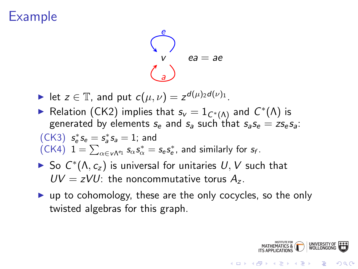## Example

$$
\begin{pmatrix} e \\ v \\ a \end{pmatrix} \quad ea = ae
$$

let  $z \in \mathbb{T}$ , and put  $c(\mu, \nu) = z^{d(\mu)_2 d(\nu)_1}$ .

► Relation (CK2) implies that  $s_v = 1_{C^*(\Lambda)}$  and  $C^*(\Lambda)$  is generated by elements  $s_a$  and  $s_a$  such that  $s_a s_a = z s_a s_a$ :

(CK3) 
$$
s_e^* s_e = s_a^* s_a = 1
$$
; and  
(CK4)  $1 = \sum_{\alpha \in v \wedge e_1} s_{\alpha} s_{\alpha}^* = s_e s_e^*$ , and similarly for  $s_f$ .

- ► So  $C^*(\Lambda, c_z)$  is universal for unitaries  $U, V$  such that  $UV = zVU$ : the noncommutative torus  $A_z$ .
- $\triangleright$  up to cohomology, these are the only cocycles, so the only twisted algebras for this graph.

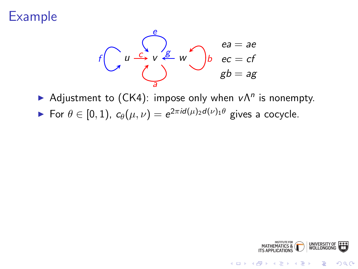## Example



Adjustment to (CK4): impose only when  $v \Lambda^n$  is nonempty.

For  $\theta \in [0,1)$ ,  $c_{\theta}(\mu, \nu) = e^{2\pi i d(\mu)_2 d(\nu)_1 \theta}$  gives a cocycle.



イロト イ伊 トイヨ トイヨト

 $299$ 

Þ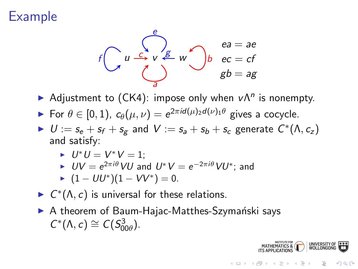# Example



- Adjustment to (CK4): impose only when  $v \Lambda^n$  is nonempty.
- For  $\theta \in [0,1)$ ,  $c_{\theta}(\mu, \nu) = e^{2\pi i d(\mu)_2 d(\nu)_1 \theta}$  gives a cocycle.
- $U := s_e + s_f + s_g$  and  $V := s_a + s_b + s_c$  generate  $C^*(\Lambda, c_z)$ and satisfy:

$$
\blacktriangleright U^*U = V^*V = 1;
$$

$$
\blacktriangleright \text{ } UV = e^{2\pi i \theta} \text{ } VU \text{ and } U^*V = e^{-2\pi i \theta} \text{ } VU^* \text{; and}
$$

$$
\blacktriangleright (1 - U U^*) (1 - V V^*) = 0.
$$

- $\blacktriangleright$   $C^*(\Lambda, c)$  is universal for these relations.
- $\triangleright$  A theorem of Baum-Hajac-Matthes-Szymański says  $C^*(\Lambda, c) \cong C(S^3_{00\theta}).$



B

 $QQ$ 

 $4$  ロ )  $4$   $\overline{r}$  )  $4$   $\overline{z}$  )  $4$   $\overline{z}$  )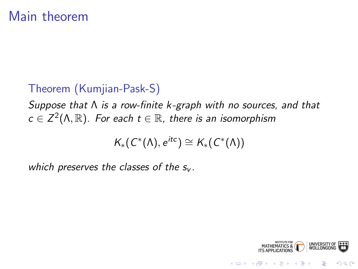#### Theorem (Kumjian-Pask-S)

Suppose that Λ is a row-finite k -graph with no sources, and that  $c \in \mathsf{Z}^2(\Lambda,\mathbb{R}).$  For each  $t \in \mathbb{R}$ , there is an isomorphism

$$
K_*(C^*(\Lambda),e^{itc})\cong K_*(C^*(\Lambda))
$$

which preserves the classes of the  $s_v$ .

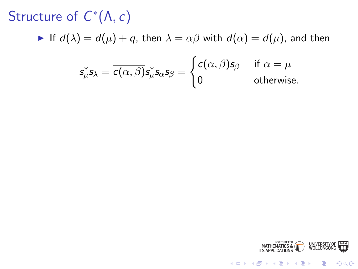Structure of  $C^*(\Lambda,c)$ 

If  $d(\lambda) = d(\mu) + q$ , then  $\lambda = \alpha \beta$  with  $d(\alpha) = d(\mu)$ , and then

$$
s_{\mu}^* s_{\lambda} = \overline{c(\alpha, \beta)} s_{\mu}^* s_{\alpha} s_{\beta} = \begin{cases} \overline{c(\alpha, \beta)} s_{\beta} & \text{if } \alpha = \mu \\ 0 & \text{otherwise.} \end{cases}
$$



K ロ > K @ > K 할 > K 할 > 1 할 : ⊙ Q Q^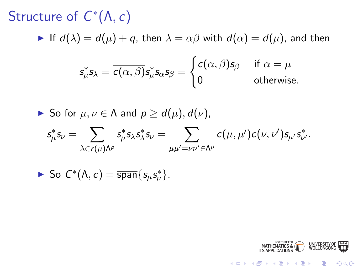Structure of  $C^*(\Lambda,c)$ 

If  $d(\lambda) = d(\mu) + q$ , then  $\lambda = \alpha \beta$  with  $d(\alpha) = d(\mu)$ , and then

$$
s_{\mu}^* s_{\lambda} = \overline{c(\alpha, \beta)} s_{\mu}^* s_{\alpha} s_{\beta} = \begin{cases} \overline{c(\alpha, \beta)} s_{\beta} & \text{if } \alpha = \mu \\ 0 & \text{otherwise.} \end{cases}
$$

► So for 
$$
\mu, \nu \in \Lambda
$$
 and  $p \ge d(\mu), d(\nu)$ ,

$$
s^*_{\mu} s_{\nu} = \sum_{\lambda \in r(\mu) \Lambda^p} s^*_{\mu} s_{\lambda} s^*_{\lambda} s_{\nu} = \sum_{\mu \mu' = \nu \nu' \in \Lambda^p} \overline{c(\mu, \mu')} c(\nu, \nu') s_{\mu'} s^*_{\nu'}.
$$

▶ So 
$$
C^*(\Lambda, c) = \overline{\text{span}}\{s_\mu s_\nu^*\}.
$$

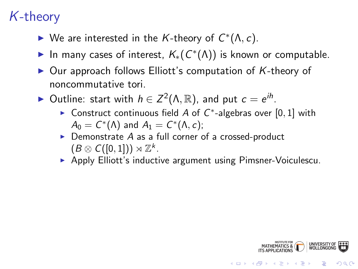## K-theory

- ► We are interested in the K-theory of  $C^*(\Lambda, c)$ .
- ► In many cases of interest,  $K_*(C^*(\Lambda))$  is known or computable.
- $\triangleright$  Our approach follows Elliott's computation of K-theory of noncommutative tori.
- ► Outline: start with  $h \in Z^2(\Lambda, \mathbb{R})$ , and put  $c = e^{ih}$ .
	- ► Construct continuous field A of  $C^*$ -algebras over  $[0,1]$  with  $A_0 = C^*(\Lambda)$  and  $A_1 = C^*(\Lambda,c)$ ;
	- $\triangleright$  Demonstrate A as a full corner of a crossed-product  $(B \otimes C([0,1])) \rtimes \mathbb{Z}^k$ .
	- **Apply Elliott's inductive argument using Pimsner-Voiculescu.**



**KOD KAR KED KED E YORA**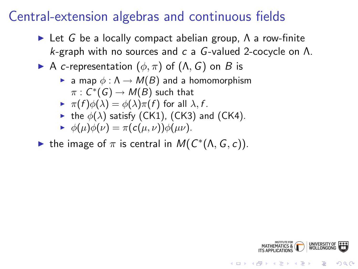## Central-extension algebras and continuous fields

- $\triangleright$  Let G be a locally compact abelian group,  $\Lambda$  a row-finite k-graph with no sources and c a G-valued 2-cocycle on  $\Lambda$ .
- A c-representation  $(\phi, \pi)$  of  $(\Lambda, G)$  on B is
	- **E** a map  $\phi : \Lambda \to M(B)$  and a homomorphism  $\pi:\mathsf{C}^*(\mathsf{G})\to \mathsf{M}(\mathsf{B})$  such that
	- $\blacktriangleright \pi(f)\phi(\lambda) = \phi(\lambda)\pi(f)$  for all  $\lambda, f$ .
	- the  $\phi(\lambda)$  satisfy (CK1), (CK3) and (CK4).

$$
\blacktriangleright \phi(\mu)\phi(\nu) = \pi(c(\mu,\nu))\phi(\mu\nu).
$$

• the image of  $\pi$  is central in  $M(C^*(\Lambda, G, c))$ .



**KORK ERKER ADAM ADA**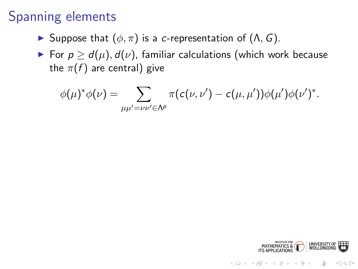## Spanning elements

- $\triangleright$  Suppose that  $(φ, π)$  is a *c*-representation of  $(Λ, G)$ .
- For  $p \ge d(\mu)$ ,  $d(\nu)$ , familiar calculations (which work because the  $\pi(f)$  are central) give

$$
\phi(\mu)^*\phi(\nu)=\sum_{\mu\mu'=\nu\nu'\in\Lambda^p}\pi(c(\nu,\nu')-c(\mu,\mu'))\phi(\mu')\phi(\nu')^*.
$$



K ロ > K @ > K 할 > K 할 > → 할 → ⊙ Q Q\*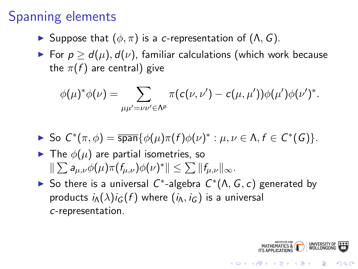## Spanning elements

- $\triangleright$  Suppose that  $(φ, π)$  is a c-representation of  $(Λ, G)$ .
- For  $p \ge d(\mu)$ ,  $d(\nu)$ , familiar calculations (which work because the  $\pi(f)$  are central) give

$$
\phi(\mu)^* \phi(\nu) = \sum_{\mu \mu' = \nu \nu' \in \Lambda^p} \pi(c(\nu, \nu') - c(\mu, \mu')) \phi(\mu') \phi(\nu')^*.
$$

- So  $C^*(\pi, \phi) = \overline{\text{span}}\{\phi(\mu)\pi(f)\phi(\nu)^*: \mu, \nu \in \Lambda, f \in C^*(G)\}.$
- $\blacktriangleright$  The  $\phi(\mu)$  are partial isometries, so  $\|\sum a_{\mu,\nu}\phi(\mu)\pi(f_{\mu,\nu})\phi(\nu)^*\|\leq \sum \|f_{\mu,\nu}\|_{\infty}.$
- So there is a universal  $C^*$ -algebra  $C^*(\Lambda, G, c)$  generated by products  $i_A(\lambda)i_G(f)$  where  $(i_A, i_G)$  is a universal c-representation.

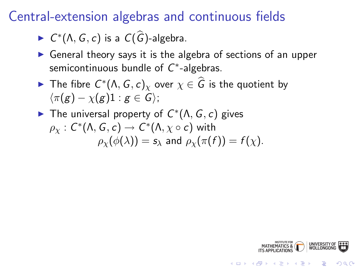Central-extension algebras and continuous fields

- $\blacktriangleright$   $C^*(\Lambda, G, c)$  is a  $C(\widehat{G})$ -algebra.
- $\triangleright$  General theory says it is the algebra of sections of an upper semicontinuous bundle of  $C^*$ -algebras.
- ► The fibre  $C^*(\Lambda, G, c)_{\chi}$  over  $\chi \in \widehat{G}$  is the quotient by  $\langle \pi(g) - \chi(g)1 : g \in G \rangle$ ;
- The universal property of  $C^*(\Lambda, G, c)$  gives  $\rho_\chi:\, \mathcal{C}^*(\Lambda, \mathcal{G}, \mathcal{c}) \rightarrow\, \mathcal{C}^*(\Lambda, \chi\circ \mathcal{c})$  with  $\rho_{\chi}(\phi(\lambda)) = s_{\lambda}$  and  $\rho_{\chi}(\pi(f)) = f(\chi)$ .

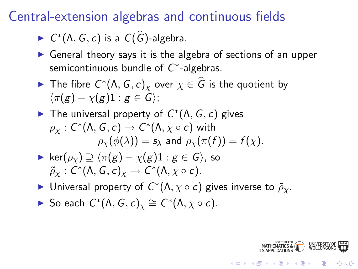Central-extension algebras and continuous fields

- $\blacktriangleright$   $C^*(\Lambda, G, c)$  is a  $C(\widehat{G})$ -algebra.
- $\triangleright$  General theory says it is the algebra of sections of an upper semicontinuous bundle of  $C^*$ -algebras.
- ► The fibre  $C^*(\Lambda, G, c)_{\chi}$  over  $\chi \in \widehat{G}$  is the quotient by  $\langle \pi(\mathbf{g}) - \chi(\mathbf{g})\mathbf{1} : \mathbf{g} \in \mathcal{G} \rangle$ ;
- The universal property of  $C^*(\Lambda, G, c)$  gives  $\rho_\chi:\, \mathcal{C}^*(\Lambda, \mathcal{G}, \mathcal{c}) \rightarrow\, \mathcal{C}^*(\Lambda, \chi\circ \mathcal{c})$  with  $\rho_{\gamma}(\phi(\lambda)) = s_{\lambda}$  and  $\rho_{\gamma}(\pi(f)) = f(\chi)$ .
- $\triangleright$  ker( $\rho_{\nu}$ )  $\supseteq$   $\langle \pi(g) \chi(g)1 : g \in G \rangle$ , so  $\widetilde{\rho}_\chi:\overline{\mathsf{C}}^*(\Lambda,\mathsf{G},\mathsf{c})_\chi\rightarrow \mathsf{C}^*(\Lambda,\chi\circ\mathsf{c}).$
- ► Universal property of  $C^*(\Lambda, \chi \circ c)$  gives inverse to  $\tilde{\rho}_{\chi}$ .

► So each 
$$
C^*(\Lambda, G, c)_\chi \cong C^*(\Lambda, \chi \circ c)
$$
.

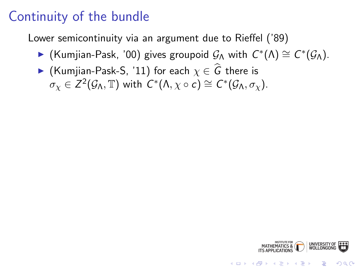Lower semicontinuity via an argument due to Rieffel ('89)

- ► (Kumjian-Pask, '00) gives groupoid  $\mathcal{G}_{\Lambda}$  with  $C^*(\Lambda) \cong C^*(\mathcal{G}_{\Lambda})$ .
- ► (Kumjian-Pask-S, '11) for each  $\chi \in \widehat{G}$  there is  $\sigma_\chi \in Z^2(\mathcal{G}_\Lambda, \mathbb{T})$  with  $C^*(\Lambda, \chi \circ c) \cong C^*(\mathcal{G}_\Lambda, \sigma_\chi).$



**KORK STRAIN A BAR SHOP**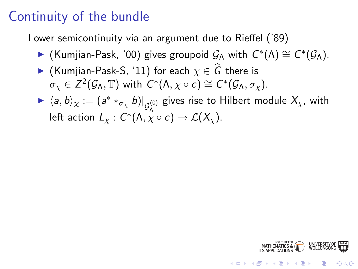Lower semicontinuity via an argument due to Rieffel ('89)

- ► (Kumjian-Pask, '00) gives groupoid  $\mathcal{G}_{\Lambda}$  with  $C^*(\Lambda) \cong C^*(\mathcal{G}_{\Lambda})$ .
- ► (Kumjian-Pask-S, '11) for each  $\chi \in \widehat{G}$  there is  $\sigma_\chi \in Z^2(\mathcal{G}_\Lambda, \mathbb{T})$  with  $C^*(\Lambda, \chi \circ c) \cong C^*(\mathcal{G}_\Lambda, \sigma_\chi).$
- $\blacktriangleright \langle a, b \rangle_{\chi} := (a^* *_{\sigma_{\chi}} b)|_{\mathcal{G}_{\Lambda}^{(0)}}$  gives rise to Hilbert module  $X_{\chi}$ , with left action  $L_\chi: C^*(\Lambda, \chi \circ c) \to \mathcal{L}(X_\chi).$



**KOD KAR KED KED E YORA**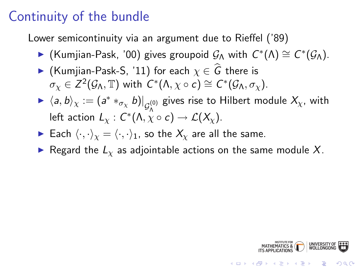Lower semicontinuity via an argument due to Rieffel ('89)

- ► (Kumjian-Pask, '00) gives groupoid  $\mathcal{G}_{\Lambda}$  with  $C^*(\Lambda) \cong C^*(\mathcal{G}_{\Lambda})$ .
- ► (Kumjian-Pask-S, '11) for each  $\chi \in \widehat{G}$  there is  $\sigma_\chi \in Z^2(\mathcal{G}_\Lambda, \mathbb{T})$  with  $C^*(\Lambda, \chi \circ c) \cong C^*(\mathcal{G}_\Lambda, \sigma_\chi).$
- $\blacktriangleright \langle a, b \rangle_{\chi} := (a^* *_{\sigma_{\chi}} b)|_{\mathcal{G}_{\Lambda}^{(0)}}$  gives rise to Hilbert module  $X_{\chi}$ , with left action  $L_\chi: C^*(\Lambda, \chi \circ c) \to \mathcal{L}(X_\chi).$
- Each  $\langle \cdot, \cdot \rangle_{\chi} = \langle \cdot, \cdot \rangle_{1}$ , so the  $X_{\chi}$  are all the same.
- Regard the  $L<sub>x</sub>$  as adjointable actions on the same module X.

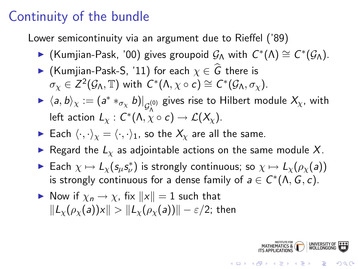Lower semicontinuity via an argument due to Rieffel ('89)

- ► (Kumjian-Pask, '00) gives groupoid  $\mathcal{G}_{\Lambda}$  with  $C^*(\Lambda) \cong C^*(\mathcal{G}_{\Lambda})$ .
- ► (Kumjian-Pask-S, '11) for each  $\chi \in \widehat{G}$  there is  $\sigma_\chi \in Z^2(\mathcal{G}_\Lambda, \mathbb{T})$  with  $C^*(\Lambda, \chi \circ c) \cong C^*(\mathcal{G}_\Lambda, \sigma_\chi).$
- $\blacktriangleright$   $\langle a, b \rangle_\chi := (a^* *_{\sigma_\chi} b)\vert_{\mathcal{G}^{(0)}_\Lambda}$  gives rise to Hilbert module  $X_\chi$ , with left action  $L_\chi: \widetilde{C}^*(\Lambda,\chi\circ c)\to {\mathcal L}(X_\chi).$
- Each  $\langle \cdot, \cdot \rangle_{\chi} = \langle \cdot, \cdot \rangle_{1}$ , so the  $X_{\chi}$  are all the same.
- Regard the  $L<sub>x</sub>$  as adjointable actions on the same module X.
- ► Each  $\chi \mapsto L_{\chi}(\mathsf{s}_{\mu}\mathsf{s}_{\nu}^*)$  is strongly continuous; so  $\chi \mapsto L_{\chi}(\rho_{\chi}(\mathsf{a}))$ is strongly continuous for a dense family of  $a \in C^*(\Lambda, G, c)$ .
- Now if  $\chi_n \to \chi$ , fix  $||x|| = 1$  such that  $\|L_{\mathcal{V}}(\rho_{\mathcal{V}}(a))x\| > \|L_{\mathcal{V}}(\rho_{\mathcal{V}}(a))\| - \varepsilon/2;$  then

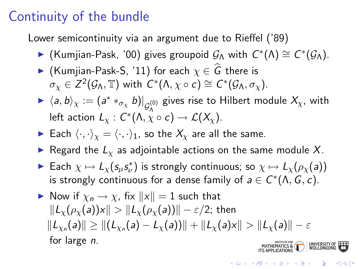Lower semicontinuity via an argument due to Rieffel ('89)

- ► (Kumjian-Pask, '00) gives groupoid  $\mathcal{G}_{\Lambda}$  with  $C^*(\Lambda) \cong C^*(\mathcal{G}_{\Lambda})$ .
- ► (Kumjian-Pask-S, '11) for each  $\chi \in \widehat{G}$  there is  $\sigma_\chi \in Z^2(\mathcal{G}_\Lambda, \mathbb{T})$  with  $C^*(\Lambda, \chi \circ c) \cong C^*(\mathcal{G}_\Lambda, \sigma_\chi).$
- $\blacktriangleright$   $\langle a, b \rangle_\chi := (a^* *_{\sigma_\chi} b)\vert_{\mathcal{G}^{(0)}_\Lambda}$  gives rise to Hilbert module  $X_\chi$ , with left action  $L_\chi: \widetilde{C}^*(\Lambda,\chi\circ c)\to {\mathcal L}(X_\chi).$
- Each  $\langle \cdot, \cdot \rangle_{\chi} = \langle \cdot, \cdot \rangle_{1}$ , so the  $X_{\chi}$  are all the same.
- Regard the  $L<sub>x</sub>$  as adjointable actions on the same module X.
- ► Each  $\chi \mapsto L_{\chi}(\mathsf{s}_{\mu}\mathsf{s}_{\nu}^*)$  is strongly continuous; so  $\chi \mapsto L_{\chi}(\rho_{\chi}(\mathsf{a}))$ is strongly continuous for a dense family of  $a \in C^*(\Lambda, G, c)$ .
- Now if  $\chi_n \to \chi$ , fix  $||x|| = 1$  such that  $\|L_{\gamma}(\rho_{\gamma}(a))x\| > \|L_{\gamma}(\rho_{\gamma}(a))\| - \varepsilon/2;$  then  $\Vert L_{\chi_{n}}(\textsf{a})\Vert\geq \Vert (L_{\chi_{n}}(\textsf{a})-L_{\chi}(\textsf{a}))\Vert + \Vert L_{\chi}(\textsf{a})\textsf{x}\Vert > \Vert L_{\chi}(\textsf{a})\Vert -\varepsilon$ for large n.MATHEMATICS & WOLLONG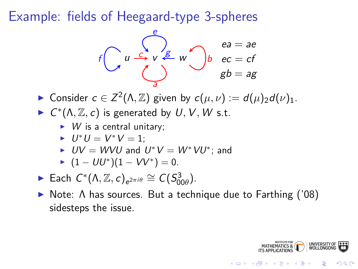Example: fields of Heegaard-type 3-spheres



► Consider  $c \in Z^2(\Lambda, \mathbb{Z})$  given by  $c(\mu, \nu) := d(\mu)_2 d(\nu)_1$ .

 $\blacktriangleright$   $C^*(\Lambda, \mathbb{Z}, c)$  is generated by  $U, V, W$  s.t.

 $\triangleright$  W is a central unitary;

$$
\blacktriangleright \ U^*U = V^*V = 1;
$$

►  $UV = WVU$  and  $U^*V = W^*VU^*$ ; and

$$
\blacktriangleright (1 - U U^*) (1 - V V^*) = 0.
$$

- ► Each  $C^*(\Lambda, \mathbb{Z}, c)_{e^{2\pi i \theta}} \cong C(S^3_{00\theta}).$
- **Note:** Λ has sources. But a technique due to Farthing ('08) sidesteps the issue.



 $QQ$ 

 $\mathbf{E} = \mathbf{A} \oplus \mathbf{A} + \mathbf{A} \oplus \mathbf{A} + \mathbf{A} \oplus \mathbf{A} + \mathbf{A} \oplus \mathbf{A} + \mathbf{A} \oplus \mathbf{A} + \mathbf{A} \oplus \mathbf{A} + \mathbf{A} \oplus \mathbf{A} + \mathbf{A} \oplus \mathbf{A} + \mathbf{A} \oplus \mathbf{A} + \mathbf{A} \oplus \mathbf{A} + \mathbf{A} \oplus \mathbf{A} + \mathbf{A} \oplus \mathbf{A} + \mathbf{A} \oplus \mathbf{A} + \mathbf{A$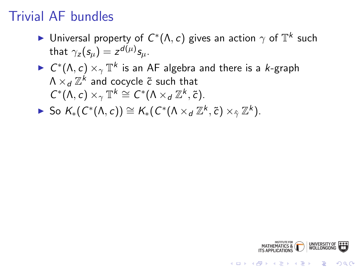## Trivial AF bundles

- ► Universal property of  $C^*(\Lambda,c)$  gives an action  $\gamma$  of  $\mathbb{T}^k$  such that  $\gamma_z(s_\mu) = z^{d(\mu)} s_\mu$ .
- $\blacktriangleright \; C^*(\Lambda,c) \times_\gamma \mathbb{T}^k$  is an AF algebra and there is a  $k$ -graph  $\Lambda\times_d\mathbb{Z}^k$  and cocycle  $\widetilde{c}$  such that  $C^*(\Lambda, c) \times_\gamma \mathbb{T}^k \cong C^*(\Lambda \times_d \mathbb{Z}^k, \tilde{c}).$
- ► So  $K_*(C^*(\Lambda, c)) \cong K_*(C^*(\Lambda \times_d \mathbb{Z}^k, \tilde{c}) \times_{\hat{\gamma}} \mathbb{Z}^k).$

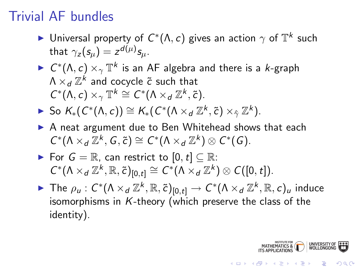## Trivial AF bundles

- ► Universal property of  $C^*(\Lambda,c)$  gives an action  $\gamma$  of  $\mathbb{T}^k$  such that  $\gamma_z(s_\mu) = z^{d(\mu)} s_\mu$ .
- $\blacktriangleright \; C^*(\Lambda,c) \times_\gamma \mathbb{T}^k$  is an AF algebra and there is a  $k$ -graph  $\Lambda\times_d\mathbb{Z}^k$  and cocycle  $\widetilde{c}$  such that  $C^*(\Lambda, c) \times_\gamma \mathbb{T}^k \cong C^*(\Lambda \times_d \mathbb{Z}^k, \tilde{c}).$
- ► So  $K_*(C^*(\Lambda, c)) \cong K_*(C^*(\Lambda \times_d \mathbb{Z}^k, \tilde{c}) \times_{\hat{\gamma}} \mathbb{Z}^k).$
- $\triangleright$  A neat argument due to Ben Whitehead shows that each  $C^*(\Lambda \times_d \bar{\mathbb{Z}}^k, G, \tilde{c}) \cong C^*(\Lambda \times_d \mathbb{Z}^k) \otimes C^*(G).$
- ► For  $G = \mathbb{R}$ , can restrict to  $[0, t] \subseteq \mathbb{R}$ :  $C^*(\Lambda \times_d \mathbb{Z}^k, \mathbb{R}, \tilde{c})_{[0,t]} \cong C^*(\Lambda \times_d \mathbb{Z}^k) \otimes C([0,t]).$
- ► The  $\rho_u$  :  $C^*(\Lambda \times_d \mathbb{Z}^k, \mathbb{R}, \tilde{c})_{[0,t]} \to C^*(\Lambda \times_d \mathbb{Z}^k, \mathbb{R}, c)_u$  induce isomorphisms in  $K$ -theory (which preserve the class of the identity).

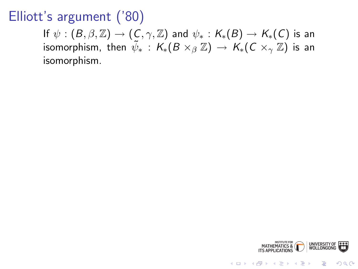## Elliott's argument ('80)

If  $\psi : (B, \beta, \mathbb{Z}) \to (C, \gamma, \mathbb{Z})$  and  $\psi_* : K_*(B) \to K_*(C)$  is an isomorphism, then  $\tilde{\psi}_*$  :  $\mathcal{K}_*(B\times_\beta \mathbb{Z}) \to \mathcal{K}_*(C\times_\gamma \mathbb{Z})$  is an isomorphism.



**KORK STRAIN A BAR SHOP**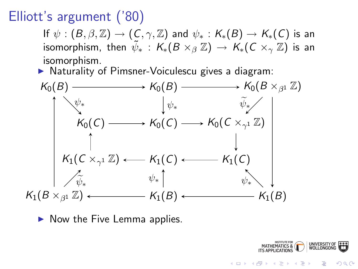## Elliott's argument ('80)

If  $\psi : (B, \beta, \mathbb{Z}) \to (C, \gamma, \mathbb{Z})$  and  $\psi_* : K_*(B) \to K_*(C)$  is an isomorphism, then  $\tilde{\psi}_*$  :  $\mathcal{K}_*(B\times_\beta \mathbb{Z}) \to \mathcal{K}_*(C\times_\gamma \mathbb{Z})$  is an isomorphism.

 $\triangleright$  Naturality of Pimsner-Voiculescu gives a diagram:



 $\triangleright$  Now the Five Lemma applies.



KOD KAP KID KID DI ARA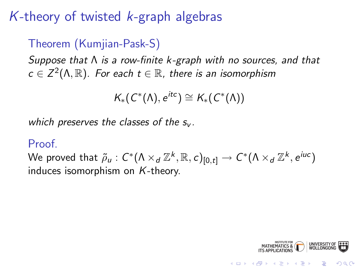## K-theory of twisted  $k$ -graph algebras

#### Theorem (Kumjian-Pask-S)

Suppose that  $\Lambda$  is a row-finite k-graph with no sources, and that  $c \in \mathsf{Z}^2(\Lambda,\mathbb{R}).$  For each  $t \in \mathbb{R}$ , there is an isomorphism

$$
\mathcal{K}_*(C^*(\Lambda),e^{itc})\cong \mathcal{K}_*(C^*(\Lambda))
$$

which preserves the classes of the  $s_{\nu}$ .

#### Proof.

We proved that  $\tilde\rho_u:C^*(\Lambda\times_d\mathbb{Z}^k,\mathbb{R},c)_{[0,t]}\to C^*(\Lambda\times_d\mathbb{Z}^k,e^{iuc})$ induces isomorphism on K-theory.

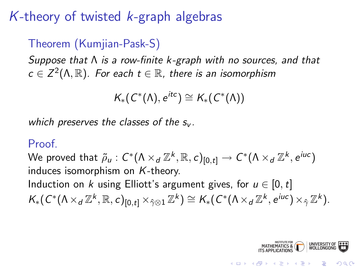## K-theory of twisted  $k$ -graph algebras

#### Theorem (Kumjian-Pask-S)

Suppose that  $\Lambda$  is a row-finite k-graph with no sources, and that  $c \in \mathsf{Z}^2(\Lambda,\mathbb{R}).$  For each  $t \in \mathbb{R}$ , there is an isomorphism

$$
\mathcal{K}_*(\mathcal{C}^*(\Lambda),e^{itc})\cong \mathcal{K}_*(\mathcal{C}^*(\Lambda))
$$

which preserves the classes of the  $s_{\nu}$ .

#### Proof.

We proved that  $\tilde\rho_u:C^*(\Lambda\times_d\mathbb{Z}^k,\mathbb{R},c)_{[0,t]}\to C^*(\Lambda\times_d\mathbb{Z}^k,e^{iuc})$ induces isomorphism on K-theory. Induction on k using Elliott's argument gives, for  $u \in [0, t]$  $K_*(C^*(\Lambda \times_d \mathbb{Z}^k, \mathbb{R}, c)_{[0,t]} \times_{\hat{\gamma} \otimes 1} \mathbb{Z}^k) \cong K_*(C^*(\Lambda \times_d \mathbb{Z}^k, e^{iuc}) \times_{\hat{\gamma}} \mathbb{Z}^k).$ 

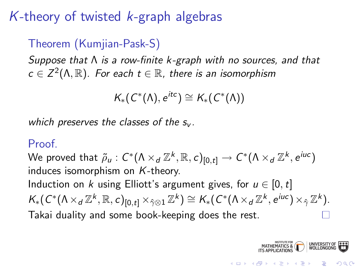## K-theory of twisted  $k$ -graph algebras

#### Theorem (Kumjian-Pask-S)

Suppose that  $\Lambda$  is a row-finite k-graph with no sources, and that  $c \in \mathsf{Z}^2(\Lambda,\mathbb{R}).$  For each  $t \in \mathbb{R}$ , there is an isomorphism

$$
\mathcal{K}_*(\mathcal{C}^*(\Lambda),e^{itc})\cong \mathcal{K}_*(\mathcal{C}^*(\Lambda))
$$

which preserves the classes of the  $s_{\nu}$ .

#### **Proof**

We proved that  $\tilde\rho_u:C^*(\Lambda\times_d\mathbb{Z}^k,\mathbb{R},c)_{[0,t]}\to C^*(\Lambda\times_d\mathbb{Z}^k,e^{iuc})$ induces isomorphism on K-theory. Induction on k using Elliott's argument gives, for  $u \in [0, t]$  $K_*(C^*(\Lambda \times_d \mathbb{Z}^k, \mathbb{R}, c)_{[0,t]} \times_{\hat{\gamma} \otimes 1} \mathbb{Z}^k) \cong K_*(C^*(\Lambda \times_d \mathbb{Z}^k, e^{iuc}) \times_{\hat{\gamma}} \mathbb{Z}^k).$ Takai duality and some book-keeping does the rest.

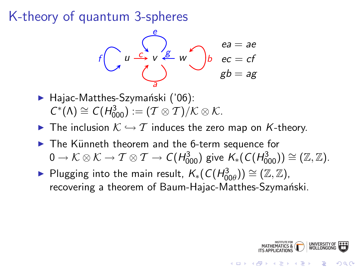K-theory of quantum 3-spheres

$$
f\begin{pmatrix} e \\ u & \stackrel{e}{\longrightarrow} v & \stackrel{e}{\longrightarrow} w \\ \stackrel{d}{\longrightarrow} & g \end{pmatrix} b \quad \begin{array}{l} ea = ae \\ ec = cf \\ gb = ag \end{array}
$$

- $\blacktriangleright$  Hajac-Matthes-Szymański ('06):  $C^*(\Lambda) \cong C(H_{000}^3) := (T \otimes T)/K \otimes K.$
- $\triangleright$  The inclusion  $K \hookrightarrow \mathcal{T}$  induces the zero map on K-theory.
- $\triangleright$  The Künneth theorem and the 6-term sequence for  $0\to \mathcal K\otimes \mathcal K \to \mathcal T\otimes \mathcal T \to \mathcal C(H^3_{000})$  give  $\mathcal{K}_*(\mathcal{C}(H^3_{000}))\cong (\mathbb Z,\mathbb Z).$
- ► Plugging into the main result,  $K_*(C(H_{00\theta}^3)) \cong (\mathbb{Z}, \mathbb{Z})$ , recovering a theorem of Baum-Hajac-Matthes-Szymański.

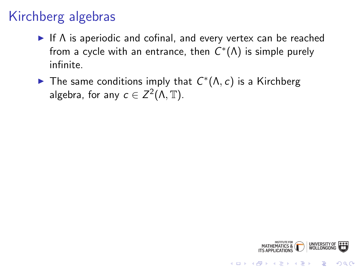## Kirchberg algebras

- If  $\Lambda$  is aperiodic and cofinal, and every vertex can be reached from a cycle with an entrance, then  $C^*(\Lambda)$  is simple purely infinite.
- ► The same conditions imply that  $C^*(\Lambda,c)$  is a Kirchberg algebra, for any  $c \in Z^2(\Lambda, \mathbb{T})$ .



**KORK STRAIN A BAR SHOP**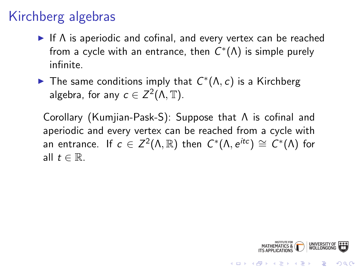## Kirchberg algebras

- If  $\Lambda$  is aperiodic and cofinal, and every vertex can be reached from a cycle with an entrance, then  $C^*(\Lambda)$  is simple purely infinite.
- ► The same conditions imply that  $C^*(\Lambda,c)$  is a Kirchberg algebra, for any  $c \in Z^2(\Lambda, \mathbb{T})$ .

Corollary (Kumjian-Pask-S): Suppose that Λ is cofinal and aperiodic and every vertex can be reached from a cycle with an entrance. If  $c \in Z^2(\Lambda,\mathbb{R})$  then  $C^*(\Lambda,e^{itc}) \cong C^*(\Lambda)$  for all  $t \in \mathbb{R}$ .